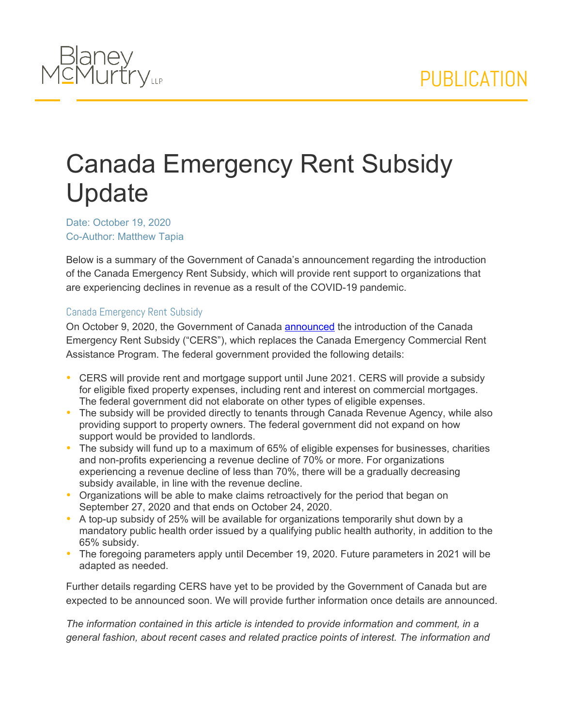

## Canada Emergency Rent Subsidy Update

Date: October 19, 2020 Co-Author: Matthew Tapia

Below is a summary of the Government of Canada's announcement regarding the introduction of the Canada Emergency Rent Subsidy, which will provide rent support to organizations that are experiencing declines in revenue as a result of the COVID-19 pandemic.

## Canada Emergency Rent Subsidy

On October 9, 2020, the Government of Canada [announced](https://www.canada.ca/en/department-finance/news/2020/10/government-announces-new-targeted-support-to-help-businesses-through-pandemic.html) the introduction of the Canada Emergency Rent Subsidy ("CERS"), which replaces the Canada Emergency Commercial Rent Assistance Program. The federal government provided the following details:

- CERS will provide rent and mortgage support until June 2021. CERS will provide a subsidy for eligible fixed property expenses, including rent and interest on commercial mortgages. The federal government did not elaborate on other types of eligible expenses.
- The subsidy will be provided directly to tenants through Canada Revenue Agency, while also providing support to property owners. The federal government did not expand on how support would be provided to landlords.
- The subsidy will fund up to a maximum of 65% of eligible expenses for businesses, charities and non-profits experiencing a revenue decline of 70% or more. For organizations experiencing a revenue decline of less than 70%, there will be a gradually decreasing subsidy available, in line with the revenue decline.
- Organizations will be able to make claims retroactively for the period that began on September 27, 2020 and that ends on October 24, 2020.
- A top-up subsidy of 25% will be available for organizations temporarily shut down by a mandatory public health order issued by a qualifying public health authority, in addition to the 65% subsidy.
- The foregoing parameters apply until December 19, 2020. Future parameters in 2021 will be adapted as needed.

Further details regarding CERS have yet to be provided by the Government of Canada but are expected to be announced soon. We will provide further information once details are announced.

*The information contained in this article is intended to provide information and comment, in a general fashion, about recent cases and related practice points of interest. The information and*